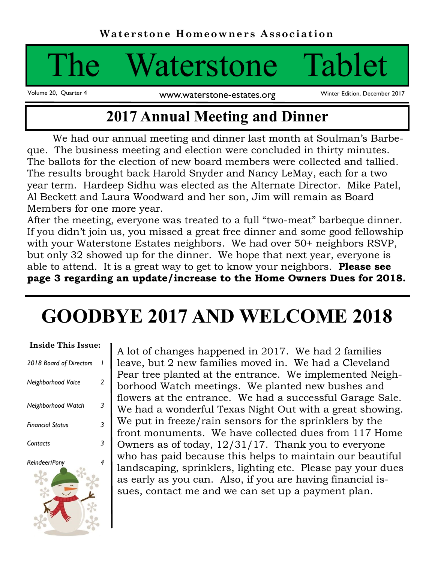# Waterstone Tablet

Volume 20, Quarter 4 www.waterstone-estates.org

Winter Edition, December 2017

# **2017 Annual Meeting and Dinner**

We had our annual meeting and dinner last month at Soulman's Barbeque. The business meeting and election were concluded in thirty minutes. The ballots for the election of new board members were collected and tallied. The results brought back Harold Snyder and Nancy LeMay, each for a two year term. Hardeep Sidhu was elected as the Alternate Director. Mike Patel, Al Beckett and Laura Woodward and her son, Jim will remain as Board Members for one more year.

After the meeting, everyone was treated to a full "two-meat" barbeque dinner. If you didn't join us, you missed a great free dinner and some good fellowship with your Waterstone Estates neighbors. We had over 50+ neighbors RSVP, but only 32 showed up for the dinner. We hope that next year, everyone is able to attend. It is a great way to get to know your neighbors. **Please see page 3 regarding an update/increase to the Home Owners Dues for 2018.**

# **GOODBYE 2017 AND WELCOME 2018**

| <b>Inside This Issue:</b> |   |
|---------------------------|---|
| 2018 Board of Directors   |   |
| Neighborhood Voice        | 2 |
| Neighborhood Watch        | 3 |
| Financial Status          | 3 |
| Contacts                  | 3 |
| Reindeer/Pony             | 4 |

A lot of changes happened in 2017. We had 2 families leave, but 2 new families moved in. We had a Cleveland Pear tree planted at the entrance. We implemented Neighborhood Watch meetings. We planted new bushes and flowers at the entrance. We had a successful Garage Sale. We had a wonderful Texas Night Out with a great showing. We put in freeze/rain sensors for the sprinklers by the front monuments. We have collected dues from 117 Home Owners as of today, 12/31/17. Thank you to everyone who has paid because this helps to maintain our beautiful landscaping, sprinklers, lighting etc. Please pay your dues as early as you can. Also, if you are having financial issues, contact me and we can set up a payment plan.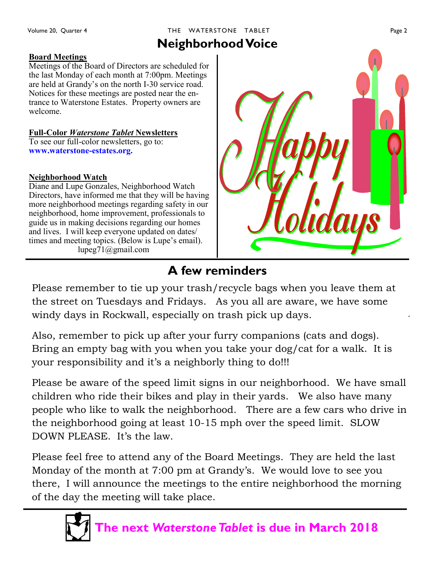## THE WATERSTONE TABLET **Example 2** Page 2

#### **Board Meetings**

Meetings of the Board of Directors are scheduled for the last Monday of each month at 7:00pm. Meetings are held at Grandy's on the north I-30 service road. Notices for these meetings are posted near the entrance to Waterstone Estates. Property owners are welcome.

#### **Full-Color** *Waterstone Tablet* **Newsletters**

To see our full-color newsletters, go to: **www.waterstone-estates.org.**

#### **Neighborhood Watch**

Diane and Lupe Gonzales, Neighborhood Watch Directors, have informed me that they will be having more neighborhood meetings regarding safety in our neighborhood, home improvement, professionals to guide us in making decisions regarding our homes and lives. I will keep everyone updated on dates/ times and meeting topics. (Below is Lupe's email). lupeg71@gmail.com



# **A few reminders**

Please remember to tie up your trash/recycle bags when you leave them at the street on Tuesdays and Fridays. As you all are aware, we have some windy days in Rockwall, especially on trash pick up days.

Also, remember to pick up after your furry companions (cats and dogs). Bring an empty bag with you when you take your dog/cat for a walk. It is your responsibility and it's a neighborly thing to do!!!

Please be aware of the speed limit signs in our neighborhood. We have small children who ride their bikes and play in their yards. We also have many people who like to walk the neighborhood. There are a few cars who drive in the neighborhood going at least 10-15 mph over the speed limit. SLOW DOWN PLEASE. It's the law.

Please feel free to attend any of the Board Meetings. They are held the last Monday of the month at 7:00 pm at Grandy's. We would love to see you there, I will announce the meetings to the entire neighborhood the morning of the day the meeting will take place.



**The next** *Waterstone Tablet* **is due in March 2018**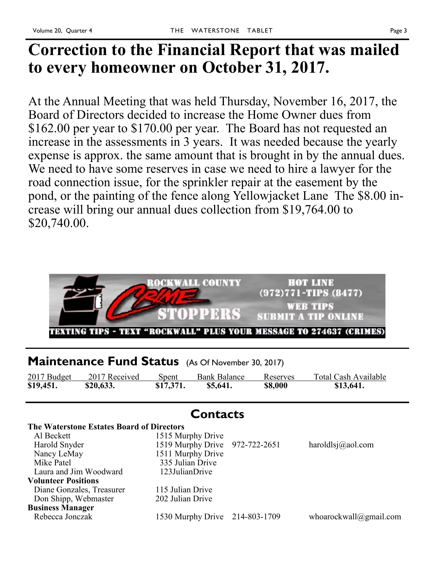# **Correction to the Financial Report that was mailed to every homeowner on October 31, 2017.**

At the Annual Meeting that was held Thursday, November 16, 2017, the Board of Directors decided to increase the Home Owner dues from \$162.00 per year to \$170.00 per year. The Board has not requested an increase in the assessments in 3 years. It was needed because the yearly expense is approx. the same amount that is brought in by the annual dues. We need to have some reserves in case we need to hire a lawyer for the road connection issue, for the sprinkler repair at the easement by the pond, or the painting of the fence along Yellowjacket Lane The \$8.00 increase will bring our annual dues collection from \$19,764.00 to \$20,740.00.



### **Maintenance Fund Status** (As Of November 30, 2017)

| 2017 Budget | 2017 Received | Spent     | <b>Bank Balance</b> | Reserves | Total Cash Available |
|-------------|---------------|-----------|---------------------|----------|----------------------|
| \$19,451.   | \$20,633.     | \$17,371. | \$5,641.            | \$8,000  | \$13,641.            |

| The Waterstone Estates Board of Directors |                                |                        |
|-------------------------------------------|--------------------------------|------------------------|
| Al Beckett                                | 1515 Murphy Drive              |                        |
| Harold Snyder                             | 1519 Murphy Drive 972-722-2651 | haroldlsj $@$ aol.com  |
| Nancy LeMay                               | 1511 Murphy Drive              |                        |
| Mike Patel                                | 335 Julian Drive               |                        |
| Laura and Jim Woodward                    | 123JulianDrive                 |                        |
| <b>Volunteer Positions</b>                |                                |                        |
| Diane Gonzales, Treasurer                 | 115 Julian Drive               |                        |
| Don Shipp, Webmaster                      | 202 Julian Drive               |                        |
| <b>Business Manager</b>                   |                                |                        |
| Rebecca Jonczak                           | 1530 Murphy Drive 214-803-1709 | whoarockwall@gmail.com |
|                                           |                                |                        |